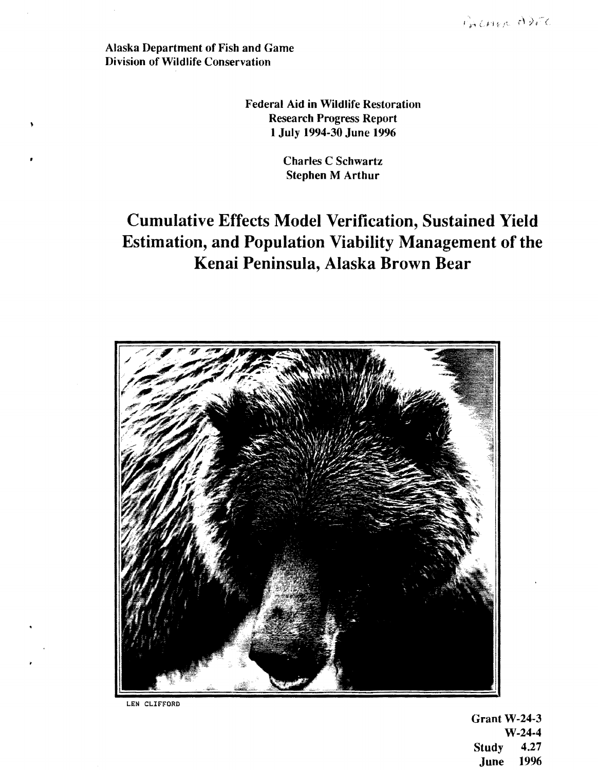PALMER ADEC

Alaska Department of Fish and Game Division of Wildlife Conservation

> Federal Aid in Wildlife Restoration Research Progress Report 1 July 1994-30 June 1996

> > Charles C Schwartz Stephen M Arthur

# Cumulative Effects Model Verification, Sustained Yield Estimation, and Population Viability Management of the Kenai Peninsula, Alaska Brown Bear



LEN CLIFFORD

Grant  $W-24-3$ W-24-4 Study 4.27 June 1996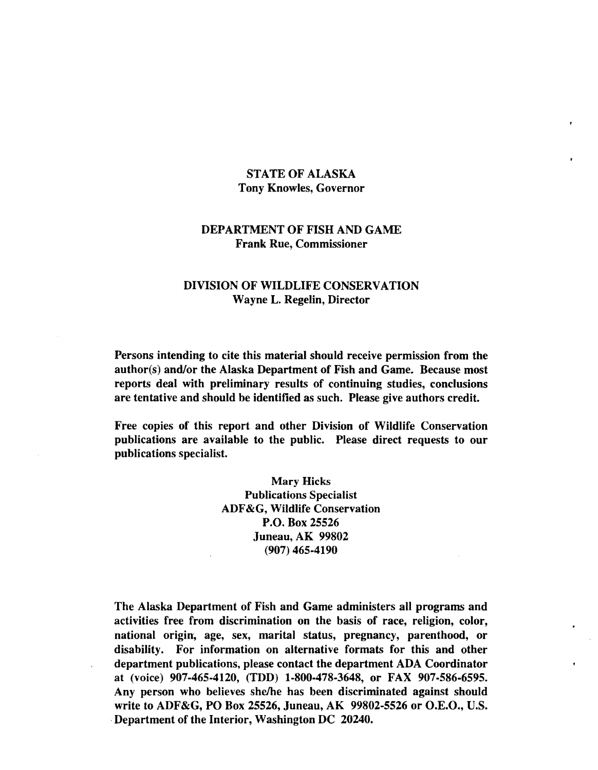## STATE OF ALASKA Tony Knowles, Governor

### DEPARTMENT OF FISH AND GAME Frank Rue, Commissioner

### DIVISION OF WILDLIFE CONSERVATION Wayne L. Regelin, Director

Persons intending to cite this material should receive permission from the author(s) and/or the Alaska Department of Fish and Game. Because most reports deal with preliminary results of continuing studies, conclusions are tentative and should be identified as such. Please give authors credit.

Free copies of this report and other Division of Wildlife Conservation publications are available to the public. Please direct requests to our publications specialist.

> Mary Hicks Publications Specialist ADF &G, Wildlife Conservation P.O. Box 25526 Juneau, AK 99802 (907) 465-4190

The Alaska Department of Fish and Game administers all programs and activities free from discrimination on the basis of race, religion, color, national origin; age, sex, marital status, pregnancy, parenthood, or disability. For information on alternative formats for this and other department publications, please contact the department ADA Coordinator at (voice) 907-465-4120, (TDD) 1-800-478-3648, or FAX 907-586-6595. Any person who believes she/he has been discriminated against should write to ADF&G, PO Box 25526, Juneau, AK 99802-5526 or O.E.O., U.S. ·Department of the Interior, Washington DC 20240.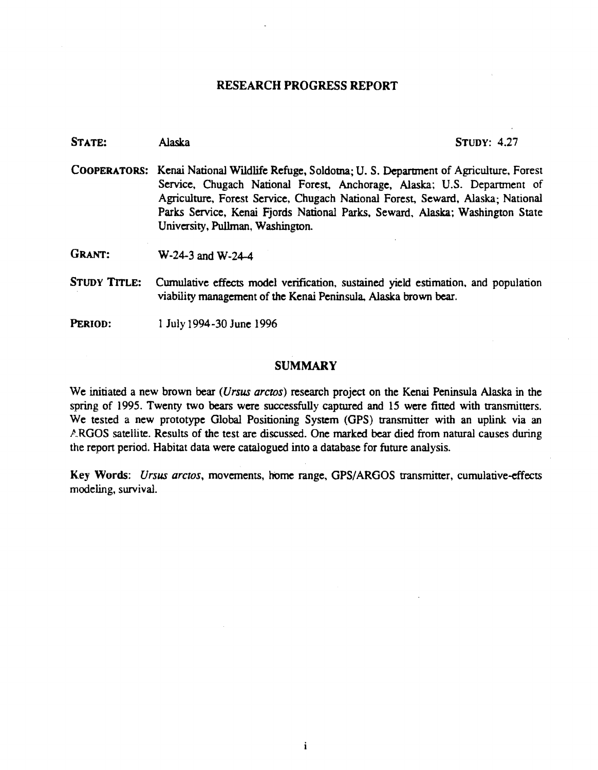#### RESEARCH PROGRESS REPORT

| STATE:        | <b>STUDY: 4.27</b><br>Alaska                                                                                                                                                                                                                                                                                                                                                   |  |  |  |  |  |
|---------------|--------------------------------------------------------------------------------------------------------------------------------------------------------------------------------------------------------------------------------------------------------------------------------------------------------------------------------------------------------------------------------|--|--|--|--|--|
|               | COOPERATORS: Kenai National Wildlife Refuge, Soldotna; U.S. Department of Agriculture, Forest<br>Service, Chugach National Forest, Anchorage, Alaska; U.S. Department of<br>Agriculture, Forest Service, Chugach National Forest, Seward, Alaska; National<br>Parks Service, Kenai Fjords National Parks, Seward, Alaska; Washington State<br>University, Pullman, Washington. |  |  |  |  |  |
| <b>GRANT:</b> | $W-24-3$ and $W-24-4$                                                                                                                                                                                                                                                                                                                                                          |  |  |  |  |  |
| STUDY TITLE:  | Cumulative effects model verification, sustained yield estimation, and population<br>viability management of the Kenai Peninsula, Alaska brown bear.                                                                                                                                                                                                                           |  |  |  |  |  |

PERIOD: 1 July 1994-30 June 1996

#### **SUMMARY**

We initiated a new brown bear *(Vrsus arcros)* research project on the Kenai Peninsula Alaska in the spring of 1995. Twenty two bears were successfully captured and 15 were fitted with transmitters. We tested a new prototype Global Positioning System (GPS) transmitter with an uplink via an ARGOS satellite. Results of the test are discussed. One marked bear died from natural causes during the report period. Habitat data were catalogued into a database for future analysis.

Key Words: *Ursus arctos*, movements, home range, GPS/ARGOS transmitter, cumulative-effects modeling, survival.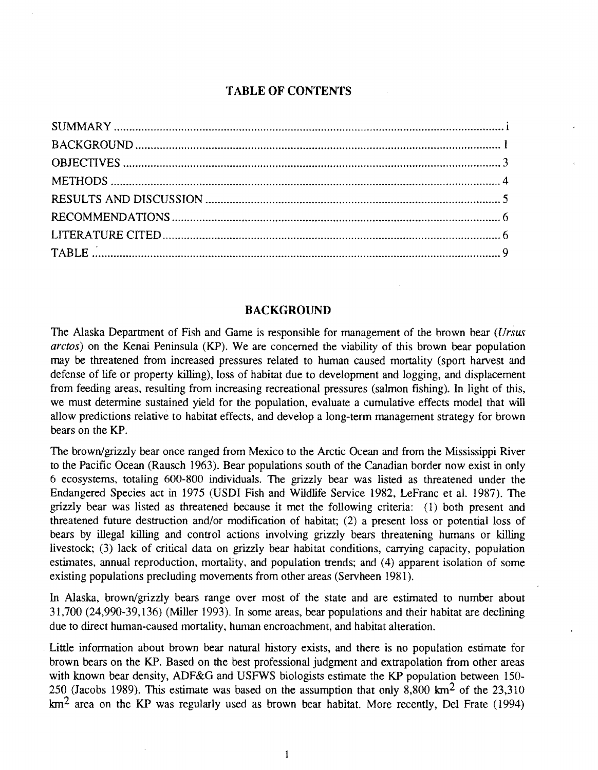# **TABLE OF CONTENTS**

#### **BACKGROUND**

The Alaska Department of Fish and Game is responsible for management of the brown bear (Ursus arctos) on the Kenai Peninsula (KP). We are concerned the viability of this brown bear population may be threatened from increased pressures related to human caused mortality (sport harvest and defense of life or property killing), loss of habitat due to development and logging, and displacement from feeding areas, resulting from increasing recreational pressures (salmon fishing). In light of this, we must determine sustained yield for the population, evaluate a cumulative effects model that will allow predictions relative to habitat effects, and develop a long-term management strategy for brown bears on the KP.

The brown/grizzly bear once ranged from Mexico to the Arctic Ocean and from the Mississippi River to the Pacific Ocean (Rausch 1963). Bear populations south of the Canadian border now exist in only 6 ecosystems, totaling 600-800 individuals. The grizzly bear was listed as threatened under the Endangered Species act in 1975 (USDI Fish and Wildlife Service 1982, LeFranc et al. 1987). The grizzly bear was listed as threatened because it met the following criteria: (1) both present and threatened future destruction and/or modification of habitat; (2) a present loss or potential loss of bears by illegal killing and control actions involving grizzly bears threatening humans or killing livestock; (3) lack of critical data on grizzly bear habitat conditions, carrying capacity, population estimates, annual reproduction, mortality, and population trends; and (4) apparent isolation of some existing populations precluding movements from other areas (Servheen 1981).

In Alaska, brown/grizzly bears range over most of the state and are estimated to number about  $31,700$  (24,990-39,136) (Miller 1993). In some areas, bear populations and their habitat are declining due to direct human-caused mortality, human encroachment, and habitat alteration.

Little information about brown bear natural history exists, and there is no population estimate for brown bears on the KP. Based on the best professional judgment and extrapolation from other areas with known bear density, ADF&G and USFWS biologists estimate the KP population between 150-250 (Jacobs 1989). This estimate was based on the assumption that only 8,800  $\text{km}^2$  of the 23,310  $km<sup>2</sup>$  area on the KP was regularly used as brown bear habitat. More recently, Del Frate (1994)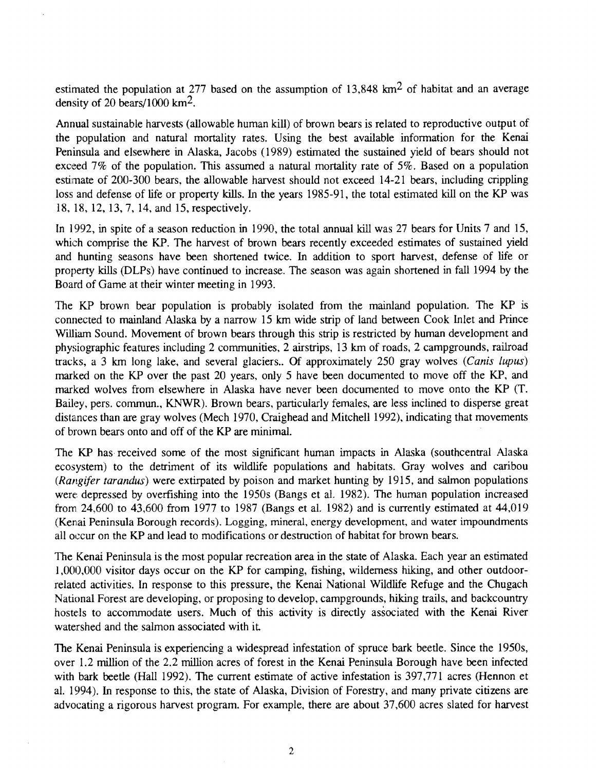estimated the population at 277 based on the assumption of  $13,848 \text{ km}^2$  of habitat and an average density of 20 bears/1000  $\text{km}^2$ .

Annual sustainable harvests (allowable human kill) of brown bears is related to reproductive output of the population and natural mortality rates. Using the best available information for the Kenai Peninsula and elsewhere in Alaska, Jacobs (1989) estimated the sustained yield of bears should not exceed 7% of the population. This assumed a natural mortality rate of 5%. Based on a population estimate of 200-300 bears, the allowable harvest should not exceed 14-21 bears, including crippling loss and defense of life or property kills. In the years 1985-91, the total estimated kill on the KP was 18, 18, 12, 13, 7, 14, and 15, respectively.

In 1992, in spite of a season reduction in 1990, the total annual kill was 27 bears for Units 7 and 15, which comprise the KP. The harvest of brown bears recently exceeded estimates of sustained yield and hunting seasons have been shortened twice. In addition to sport harvest, defense of life or property kills (DLPs) have continued to increase. The season was again shortened in fall 1994 by the Board of Game at their winter meeting in 1993.

The KP brown bear population is probably isolated from the mainland population. The KP is connected to mainland Alaska by a narrow 15 km wide strip of land between Cook Inlet and Prince William Sound. Movement of brown bears through this strip is restricted by human development and physiographic features including 2 communities, 2 airstrips, 13 km of roads, 2 campgrounds, railroad tracks, a 3 km long lake, and several glaciers.. Of approximately 250 gray wolves (Canis lupus) marked on the KP over the past 20 years, only 5 have been documented to move off the KP, and marked wolves from elsewhere in Alaska have never been documented to move onto the KP (T. Bailey, pers. commun., KNWR). Brown bears, particularly females, are less inclined to disperse great distances than are gray wolves (Mech 1970, Craighead and Mitchell 1992), indicating that movements of brown bears onto and off of the KP are minimal.

The KP has received some of the most significant human impacts in Alaska (southcentral Alaska ecosystem) to the detriment of its wildlife populations and habitats. Gray wolves and caribou (Rangifer tarandus) were extirpated by poison and market hunting by 1915, and salmon populations were depressed by overfishing into the 1950s (Bangs et al. 1982). The human population increased from 24,600 to 43,600 from 1977 to 1987 (Bangs et al. 1982) and is currently estimated at 44,019 (Kenai Peninsula Borough records). Logging, mineral, energy development, and water impoundments all occur on the KP and lead to modifications or destruction of habitat for brown bears.

The Kenai Peninsula is the most popular recreation area in the state of Alaska. Each year an estimated I ,000,000 visitor days occur on the KP for camping, fishing, wilderness hiking, and other outdoorrelated activities. In response to this pressure, the Kenai National Wildlife Refuge and the Chugach National Forest are developing, or proposing to develop, campgrounds, hiking trails, and backcountry hostels to accommodate users. Much of this activity is directly associated with the Kenai River watershed and the salmon associated with it

The Kenai Peninsula is experiencing a widespread infestation of spruce bark beetle. Since the 1950s, over 1.2 million of the 2.2 million acres of forest in the Kenai Peninsula Borough have been infected with bark beetle (Hall 1992). The current estimate of active infestation is 397,771 acres (Hennon et al. 1994). In response to this, the state of Alaska, Division of Forestry, and many private citizens are advocating a rigorous harvest program. For example, there are about 37,600 acres slated for harvest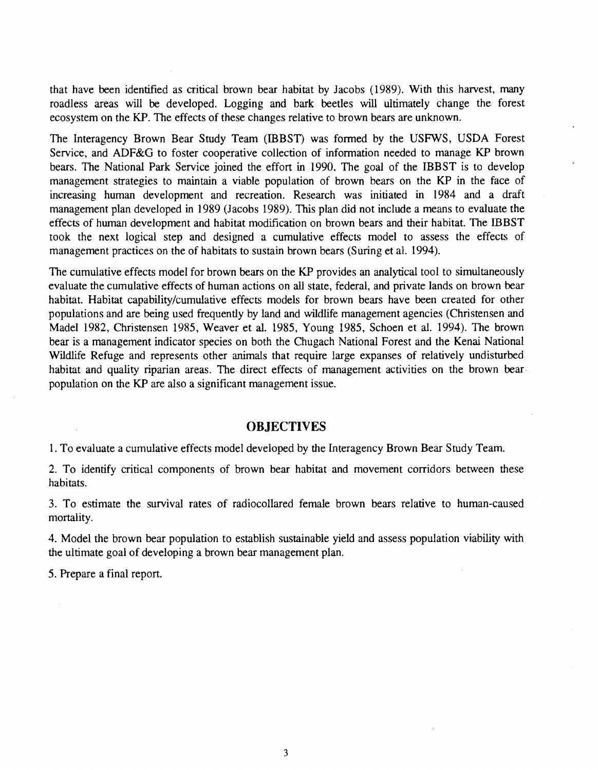that have been identified as critical brown bear habitat by Jacobs (1989). With this harvest, many roadless areas will be developed. Logging and bark beetles will ultimately change the forest ecosystem on the KP. The effects of these changes relative to brown bears are unknown.

The Interagency Brown Bear Study Team (IBBST) was formed by the USFWS, USDA Forest Service, and ADF&G to foster cooperative collection of information needed to manage KP brown bears. The National Park Service joined the effort in 1990. The goal of the IBBST is to develop management strategies to maintain a viable population of brown bears on the KP in the face of increasing human development and recreation. Research was initiated in 1984 and a draft management plan developed in 1989 (Jacobs 1989). This plan did not include a means to evaluate the effects of human development and habitat modification on brown bears and their habitat. The IBBST took the next logical step and designed a cumulative effects model to assess the effects of management practices on the of habitats to sustain brown bears (Suring et al. 1994).

The cumulative effects model for brown bears on the KP provides an analytical tool to simultaneously evaluate the cumulative effects of human actions on all state, federal, and private lands on brown bear habitat. Habitat capability/cumulative effects models for brown bears have been created for other populations and are being used frequently by land and wildlife management agencies (Christensen and Madel 1982, Christensen 1985, Weaver et al. 1985, Young 1985, Schoen et al. 1994). The brown bear is a management indicator species on both the Chugach National Forest and the Kenai National Wildlife Refuge and represents other animals that require large expanses of relatively undisturbed habitat and quality riparian areas. The direct effects of management activities on the brown bearpopulation on the KP are also a significant management issue.

#### **OBJECTIVES**

1. To evaluate a cumulative effects model developed by the Interagency Brown Bear Study Team.

2. To identify critical components of brown bear habitat and movement corridors between these habitats.

3. To estimate the survival rates of radiocollared female brown bears relative to human-caused mortality.

4. Model the brown bear population to establish sustainable yield and assess population viability with the ultimate goal of developing a brown bear management plan.

5. Prepare a final report.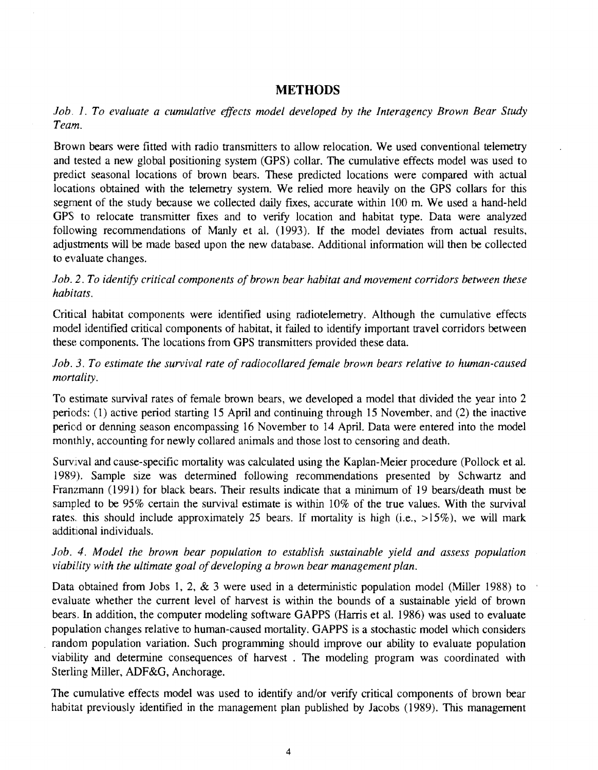## **METHODS**

*Job. 1. To evaluate a cumulative effects model developed by the Interagency Brown Bear Study Team.* 

Brown bears were fitted with radio transmitters to allow relocation. We used conventional telemetry and tested a new global positioning system (GPS) collar. The cumulative effects model was used to predict seasonal locations of brown bears. These predicted locations were compared with actual locations obtained with the telemetry system. We relied more heavily on the GPS collars for this segment of the study because we collected daily fixes, accurate within 100 m. We used a hand-held GPS to relocate transmitter fixes and to verify location and habitat type. Data were analyzed following recommendations of Manly et al. (1993). If the model deviates from actual results, adjustments will be made based upon the new database. Additional information will then be collected to evaluate changes.

*lob. 2. To identify critical components of brown bear habitat and movement corridors between these habitats.* 

Critical habitat components were identified using radiotelemetry. Although the cumulative effects model identified critical components of habitat, it failed to identify important travel corridors between these components. The locations from GPS transmitters provided these data.

1*ob. 3. To estimate the survival rate of radiocollared female brown bears relative to human-caused mortality.* 

To estimate survival rates of female brown bears, we developed a model that divided the year into 2 periods: (1) active period starting 15 April and continuing through 15 November, and (2) the inactive period or denning season encompassing 16 November to 14 April. Data were entered into the model monthly, accounting for newly collared animals and those lost to censoring and death.

Survival and cause-specific mortality was calculated using the Kaplan-Meier procedure (Pollock et al. 1989). Sample size was determined following recommendations presented by Schwartz and Franzmann (1991) for black bears. Their results indicate that a minimum of 19 bears/death must be sampled to be 95% certain the survival estimate is within 10% of the true values. With the survival rates. this should include approximately 25 bears. If mortality is high (i.e.,  $>15\%$ ), we will mark additional individuals.

Job. 4. Model the brown bear population to establish sustainable yield and assess population *viability with the ultimate goal of developing a brown bear management plan.* 

Data obtained from Jobs 1, 2, & 3 were used in a deterministic population model (Miller 1988) to evaluate whether the current level of harvest is within the bounds of a sustainable yield of brown bears. In addition, the computer modeling software GAPPS (Harris et al. 1986) was used to evaluate population changes relative to human-caused mortality. GAPPS is a stochastic model which considers random population variation. Such programming should improve our ability to evaluate population viability and detennine consequences of harvest . The modeling program was coordinated with Sterling Miller, ADF&G, Anchorage.

The cumulative effects model was used to identify and/or verify critical components of brown bear habitat previously identified in the management plan published by Jacobs (1989). This management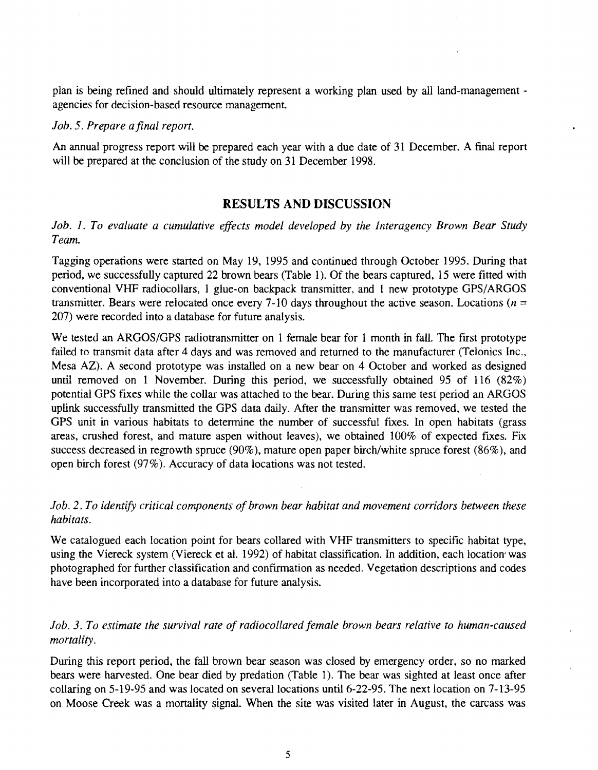plan is being refined and should ultimately represent a working plan used by all land-management agencies for decision-based resource management

#### *Job.* 5. *Prepare a final report.*

An annual progress report will be prepared each year with a due date of 31 December. A final report will be prepared at the conclusion of the study on 31 December 1998.

# **RESULTS AND DISCUSSION**

# *Job. I. To evaluate a cumulative effects model developed by the Interagency Brown Bear Study Team.*

Tagging operations were started on May 19, 1995 and continued through October 1995. During that period, we successfully captured 22 brown bears (Table 1). Of the bears captured, 15 were fitted with conventional VHF radiocollars, 1 glue-on backpack transmitter, and 1 new prototype GPS/ARGOS transmitter. Bears were relocated once every 7-10 days throughout the active season. Locations ( $n =$ 207) were recorded into a database for future analysis.

We tested an ARGOS/GPS radiotransmitter on 1 female bear for 1 month in fall. The first prototype failed to transmit data after 4 days and was removed and returned to the manufacturer (Telonics Inc., Mesa AZ). A second prototype was installed on a new bear on 4 October and worked as designed until removed on 1 November. During this period, we successfully obtained 95 of 116 (82%) potential GPS fixes while the collar was attached to the bear. During this same test period an ARGOS uplink successfully transmitted the GPS data daily. After the transmitter was removed, we tested the GPS unit in various habitats to determine the number of successful fixes. In open habitats (grass areas, crushed forest, and mature aspen without leaves), we obtained 100% of expected fixes. Fix success decreased in regrowth spruce (90% ), mature open paper birch/white spruce forest (86% ), and open birch forest (97% ). Accuracy of data locations was not tested.

# *Job.* 2. *To identify critical components of brown bear habitat and movement corridors between these habitats.*

We catalogued each location point for bears collared with VHF transmitters to specific habitat type, using the Viereck system (Viereck et al. 1992) of habitat classification. In addition, each location· was photographed for further classification and confrrmation as needed. Vegetation descriptions and codes have been incorporated into a database for future analysis.

# *Job. 3. To estimate the survival rate of radiocollared female brown bears relative to human-caused mortality.*

During this report period, the fall brown bear season was closed by emergency order, so no marked bears were harvested. One bear died by predation (Table 1). The bear was sighted at least once after collaring on 5-19-95 and was located on several locations until 6-22-95. The next location on 7-13-95 on Moose Creek was a mortality signal. When the site was visited later in August, the carcass was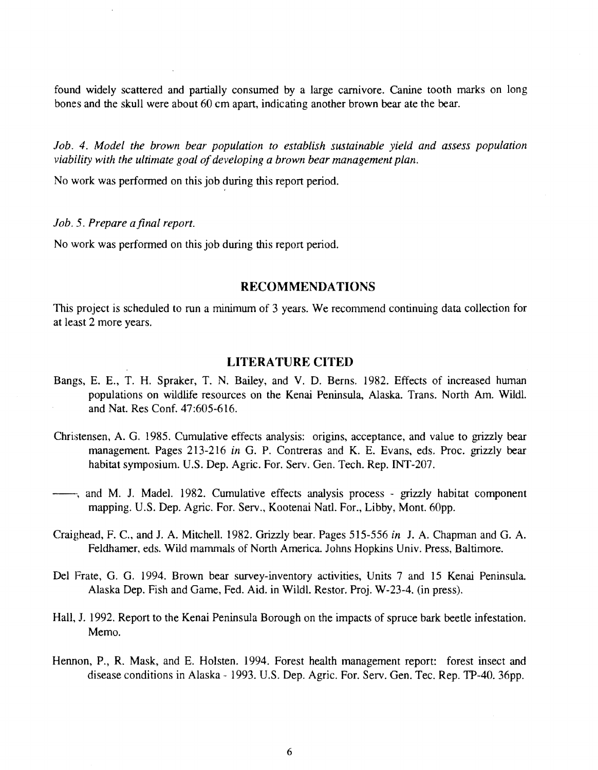found widely scattered and partially consumed by a large carnivore. Canine tooth marks on long bones and the skull were about 60 em apart, indicating another brown bear ate the bear.

Job. 4. Model the brown bear population to establish sustainable yield and assess population *viability with the ultimate goal of developing a brown bear management plan.* 

No work was performed on this job during this report period.

#### *Job.* 5. *Prepare a final report.*

No work was performed on this job during this report period.

#### **RECOMMENDATIONS**

This project is scheduled to run a minimum of 3 years. We recommend continuing data collection for at least 2 more years.

#### **LITERATURE CITED**

- Bangs, E. E., T. H. Spraker, T. N. Bailey, and V. D. Berns. 1982. Effects of increased human populations on wildlife resources on the Kenai Peninsula, Alaska. Trans. North Am. Wild!. and Nat. Res Conf. 47:605-616.
- Christensen, A. G. 1985. Cumulative effects analysis: origins, acceptance, and value to grizzly bear management. Pages 213-216 *in* G. P. Contreras and K. E. Evans, eds. Proc. grizzly bear habitat symposium. U.S. Dep. Agric. For. Serv. Gen. Tech. Rep. INT-207.
- ---, and M. J. Madel. 1982. Cumulative effects analysis process grizzly habitat component mapping. U.S. Dep. Agric. For. Serv., Kootenai Natl. For., Libby, Mont. 60pp.
- Craighead, F. C., and J. A. Mitchell. 1982. Grizzly bear. Pages 515-556 *in* J. A. Chapman and G. A. Feldhamer, eds. Wild mammals of North America. Johns Hopkins Univ. Press, Baltimore.
- Del Frate, G. G. 1994. Brown bear survey-inventory activities, Units 7 and 15 Kenai Peninsula. Alaska Dep. Fish and Game, Fed. Aid. in Wildl. Restor. Proj. W-23-4. (in press).
- Hall, J. 1992. Report to the Kenai Peninsula Borough on the impacts of spruce bark beetle infestation. Memo.
- Hennon, P., R. Mask, and E. Holsten. 1994. Forest health management report: forest insect and disease conditions in Alaska- 1993. U.S. Dep. Agric. For. Serv. Gen. Tee. Rep. TP-40. 36pp.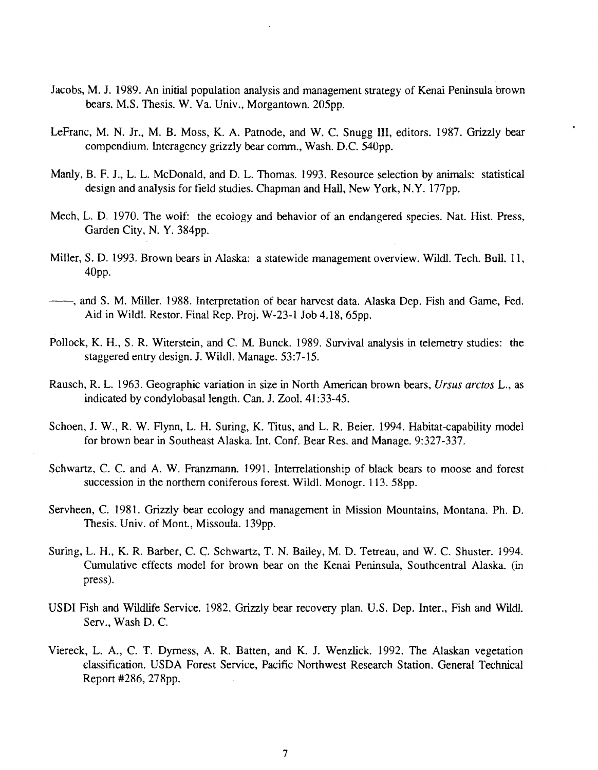- Jacobs, M. J. 1989. An initial population analysis and management strategy of Kenai Peninsula brown bears. M.S. Thesis. W.Va. Univ., Morgantown. 205pp.
- LeFranc, M. N. Jr., M. B. Moss, K. A. Patnode, and W. C. Snugg III, editors. 1987. Grizzly bear compendium. Interagency grizzly bear comm., Wash. D.C. 540pp.
- Manly, B. F. J., L. L. McDonald, and D. L. Thomas. 1993. Resource selection by animals: statistical design and analysis for field studies. Chapman and Hall, New York, N.Y. 177pp.
- Mech, L. D. 1970. The wolf: the ecology and behavior of an endangered species. Nat. Hist. Press, Garden City, N. Y. 384pp.
- Miller, S.D. 1993. Brown bears in Alaska: a statewide management overview. Wildl. Tech. Bull. 11, 40pp.
- --, and S. M. Miller. 1988. Interpretation of bear harvest data. Alaska Dep. Fish and Game, Fed. Aid in Wildl. Restor. Final Rep. Proj. W-23-1 Job 4.18, 65pp.
- Pollock, K. H., S. R. Witerstein, and C. M. Bunck. 1989. Survival analysis in telemetry studies: the staggered entry design. J. Wildl. Manage. 53:7-15.
- Rausch, R. L. 1963. Geographic variation in size in North American brown bears, *Ursus arctos* L., as indicated by condylobasal length. Can. J. Zool. 41:33-45.
- Schoen, J. W., R. W. Flynn, L. H. Suring, K. Titus, and L. R. Beier. 1994. Habitat-capability model for brown bear in Southeast Alaska. Int. Conf. Bear Res. and Manage. 9:327-337.
- Schwartz, C. C. and A. W. Franzmann. 1991. Interrelationship of black bears to moose and forest succession in the northern coniferous forest. Wildl. Monogr. 113. 58pp.
- Servheen, C. 1981. Grizzly bear ecology and management in Mission Mountains, Montana. Ph. D. Thesis. Univ. of Mont, Missoula. 139pp.
- Suring, L. H., K. R. Barber, C. C. Schwartz, T. N. Bailey, M. D. Tetreau, and W. C. Shuster. 1994. Cumulative effects model for brown bear on the Kenai Peninsula, Southcentral Alaska. (in press).
- USDI Fish and Wildlife Service. 1982. Grizzly bear recovery plan. U.S. Dep. Inter., Fish and Wildl Serv., Wash D. C.
- Viereck, L. A., C. T. Dymess, A. R. Batten, and K. J. Wenzlick. 1992. The Alaskan vegetation classification. USDA Forest Service, Pacific Northwest Research Station. General Technical Report #286, 278pp.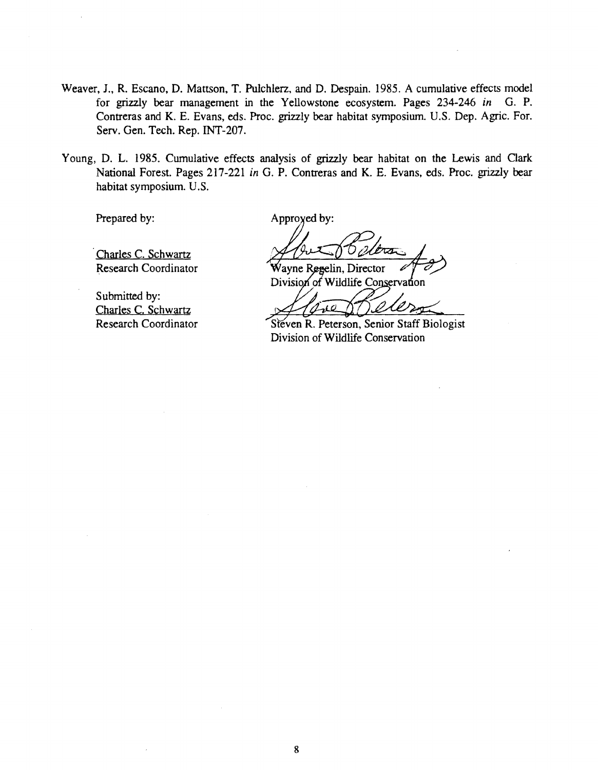- Weaver, J., R. Escano, D. Mattson, T. Pulchlerz, and D. Despain. 1985. A cumulative effects model for grizzly bear management in the Yellowstone ecosystem. Pages 234-246 *in* G. P. Contreras and K. E. Evans, eds. Proc. grizzly bear habitat symposium. U.S. Dep. Agric. For. Serv. Gen. Tech. Rep. INT-207.
- Young, D. L. 1985. Cumulative effects analysis of grizzly bear habitat on the Lewis and Clark National Forest. Pages 217-221 *in* G. P. Contreras and K. E. Evans, eds. Proc. grizzly bear habitat symposium. U.S.

Prepared by:

Approyed by:

Wayne Regelin, Director

Division of Wildlife Conservation

 $\overline{\mathscr{L}}$ <u>/e</u> عد

Steven R. Peterson, Senior Staff Biologist Division of Wildlife Conservation

Charles C. Schwartz Research Coordinator

Submitted by: Charles C. Schwartz Research Coordinator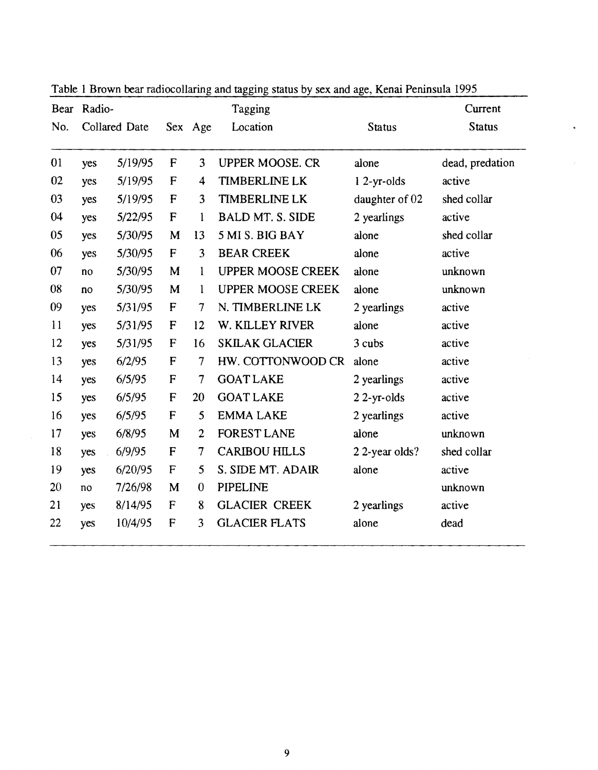| Bear | Radio-       | Tagging              |                           |                         | Current                  |                |                 |
|------|--------------|----------------------|---------------------------|-------------------------|--------------------------|----------------|-----------------|
| No.  |              | <b>Collared Date</b> |                           | Sex Age                 | Location                 | <b>Status</b>  | <b>Status</b>   |
| 01   | yes          | 5/19/95              | F                         | 3                       | <b>UPPER MOOSE. CR</b>   | alone          | dead, predation |
| 02   | yes          | 5/19/95              | $\mathbf{F}$              | $\overline{\mathbf{4}}$ | <b>TIMBERLINE LK</b>     | $12-yr-olds$   | active          |
| 03   | yes          | 5/19/95              | F                         | 3                       | <b>TIMBERLINE LK</b>     | daughter of 02 | shed collar     |
| 04   | yes          | 5/22/95              | $\mathbf{F}$              | 1                       | <b>BALD MT. S. SIDE</b>  | 2 yearlings    | active          |
| 05   | yes          | 5/30/95              | M                         | 13                      | 5 MI S. BIG BAY          | alone          | shed collar     |
| 06   | yes          | 5/30/95              | F                         | 3                       | <b>BEAR CREEK</b>        | alone          | active          |
| 07   | no           | 5/30/95              | M                         | 1                       | <b>UPPER MOOSE CREEK</b> | alone          | unknown         |
| 08   | $\mathbf{n}$ | 5/30/95              | M                         | $\mathbf{1}$            | <b>UPPER MOOSE CREEK</b> | alone          | unknown         |
| 09   | yes          | 5/31/95              | $\mathbf F$               | $\tau$                  | N. TIMBERLINE LK         | 2 yearlings    | active          |
| 11   | yes          | 5/31/95              | F                         | 12                      | W. KILLEY RIVER          | alone          | active          |
| 12   | yes          | 5/31/95              | F                         | 16                      | <b>SKILAK GLACIER</b>    | 3 cubs         | active          |
| 13   | yes          | 6/2/95               | $\mathbf{F}$              | $\tau$                  | HW. COTTONWOOD CR        | alone          | active          |
| 14   | yes          | 6/5/95               | $\boldsymbol{\mathsf{F}}$ | 7                       | <b>GOAT LAKE</b>         | 2 yearlings    | active          |
| 15   | yes          | 6/5/95               | ${\sf F}$                 | 20                      | <b>GOAT LAKE</b>         | $22$ -yr-olds  | active          |
| 16   | yes          | 6/5/95               | F                         | 5                       | <b>EMMA LAKE</b>         | 2 yearlings    | active          |
| 17   | yes          | 6/8/95               | M                         | $\overline{2}$          | <b>FOREST LANE</b>       | alone          | unknown         |
| 18   | yes          | 6/9/95               | F                         | $\overline{7}$          | <b>CARIBOU HILLS</b>     | 22-year olds?  | shed collar     |
| 19   | yes          | 6/20/95              | $\mathbf F$               | 5                       | S. SIDE MT. ADAIR        | alone          | active          |
| 20   | no           | 7/26/98              | M                         | $\theta$                | <b>PIPELINE</b>          |                | unknown         |
| 21   | yes          | 8/14/95              | $\mathbf{F}$              | 8                       | <b>GLACIER CREEK</b>     | 2 yearlings    | active          |
| 22   | yes          | 10/4/95              | F                         | 3                       | <b>GLACIER FLATS</b>     | alone          | dead            |

Table 1 Brown bear radiocollaring and tagging status by sex and age, Kenai Peninsula 1995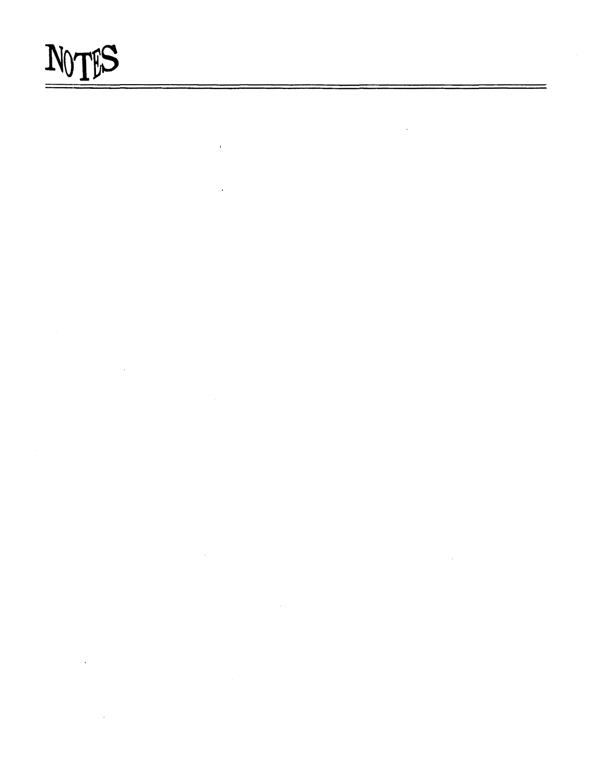# NOTES

 $\hat{\boldsymbol{\beta}}$ 

 $\mathbf{I}$ 

 $\ddot{\phantom{0}}$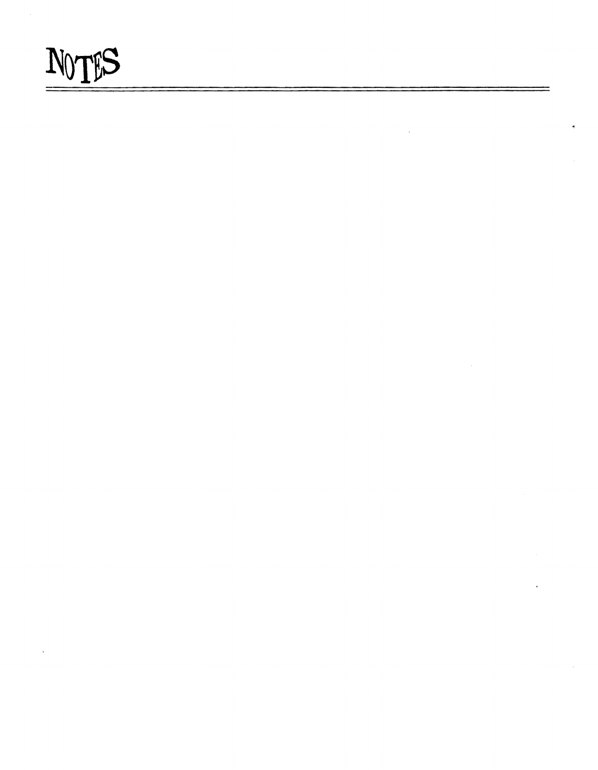

 $\bar{\mathcal{A}}$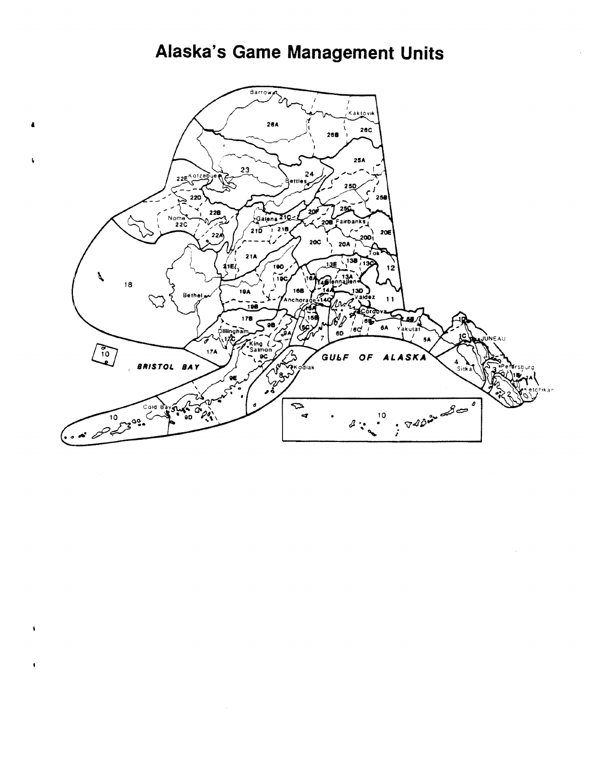# Alaska's Game Management Units



¥